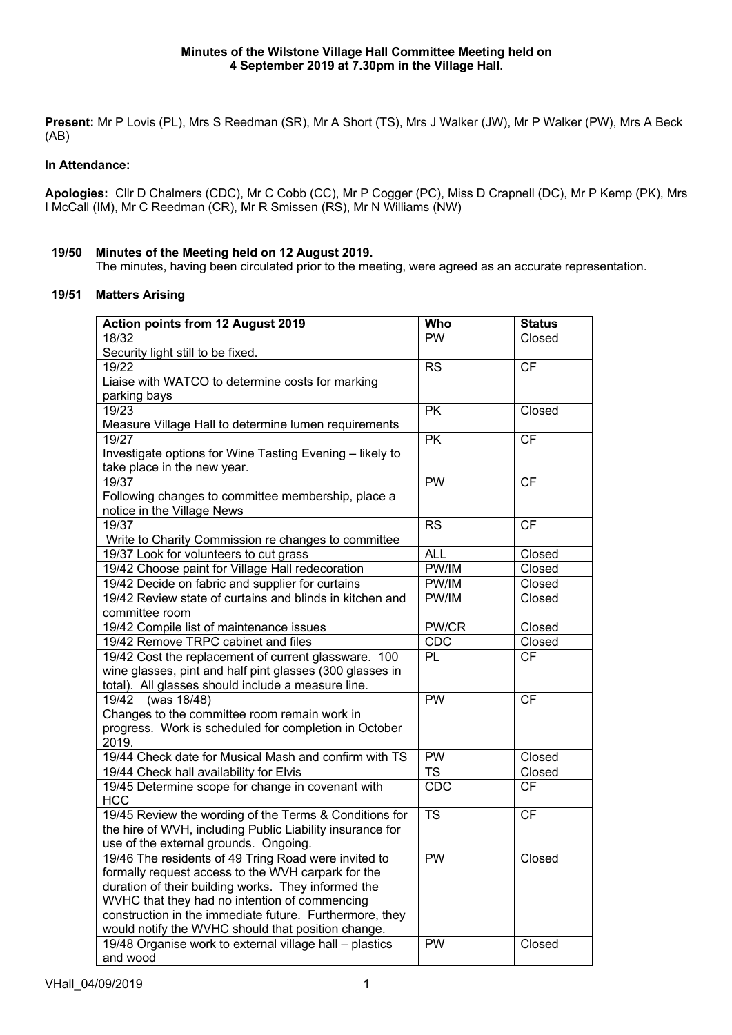**Present:** Mr P Lovis (PL), Mrs S Reedman (SR), Mr A Short (TS), Mrs J Walker (JW), Mr P Walker (PW), Mrs A Beck (AB)

# **In Attendance:**

**Apologies:** Cllr D Chalmers (CDC), Mr C Cobb (CC), Mr P Cogger (PC), Miss D Crapnell (DC), Mr P Kemp (PK), Mrs I McCall (IM), Mr C Reedman (CR), Mr R Smissen (RS), Mr N Williams (NW)

## **19/50 Minutes of the Meeting held on 12 August 2019.**

The minutes, having been circulated prior to the meeting, were agreed as an accurate representation.

## **19/51 Matters Arising**

| <b>Action points from 12 August 2019</b>                                                                       | Who              | <b>Status</b>       |
|----------------------------------------------------------------------------------------------------------------|------------------|---------------------|
| 18/32                                                                                                          | <b>PW</b>        | Closed              |
| Security light still to be fixed.                                                                              |                  |                     |
| 19/22                                                                                                          | <b>RS</b>        | <b>CF</b>           |
| Liaise with WATCO to determine costs for marking                                                               |                  |                     |
| parking bays                                                                                                   |                  |                     |
| 19/23                                                                                                          | <b>PK</b>        | Closed              |
| Measure Village Hall to determine lumen requirements                                                           |                  |                     |
| 19/27                                                                                                          | <b>PK</b>        | <b>CF</b>           |
| Investigate options for Wine Tasting Evening - likely to                                                       |                  |                     |
| take place in the new year.                                                                                    |                  |                     |
| 19/37                                                                                                          | PW               | <b>CF</b>           |
| Following changes to committee membership, place a                                                             |                  |                     |
| notice in the Village News                                                                                     |                  |                     |
| 19/37                                                                                                          | <b>RS</b>        | <b>CF</b>           |
| Write to Charity Commission re changes to committee                                                            |                  |                     |
| 19/37 Look for volunteers to cut grass                                                                         | <b>ALL</b>       | Closed              |
| 19/42 Choose paint for Village Hall redecoration                                                               | PW/IM            | Closed              |
| 19/42 Decide on fabric and supplier for curtains                                                               | PW/IM            | Closed              |
| 19/42 Review state of curtains and blinds in kitchen and                                                       | PW/IM            | Closed              |
| committee room                                                                                                 |                  |                     |
| 19/42 Compile list of maintenance issues                                                                       | PW/CR            | Closed              |
| 19/42 Remove TRPC cabinet and files                                                                            | CDC<br><b>PL</b> | Closed<br><b>CF</b> |
| 19/42 Cost the replacement of current glassware. 100                                                           |                  |                     |
| wine glasses, pint and half pint glasses (300 glasses in<br>total). All glasses should include a measure line. |                  |                     |
| (was 18/48)<br>19/42                                                                                           | PW               | CF                  |
| Changes to the committee room remain work in                                                                   |                  |                     |
| progress. Work is scheduled for completion in October                                                          |                  |                     |
| 2019.                                                                                                          |                  |                     |
| 19/44 Check date for Musical Mash and confirm with TS                                                          | PW               | Closed              |
| 19/44 Check hall availability for Elvis                                                                        | <b>TS</b>        | Closed              |
| 19/45 Determine scope for change in covenant with                                                              | CDC              | <b>CF</b>           |
| <b>HCC</b>                                                                                                     |                  |                     |
| 19/45 Review the wording of the Terms & Conditions for                                                         | <b>TS</b>        | <b>CF</b>           |
| the hire of WVH, including Public Liability insurance for                                                      |                  |                     |
| use of the external grounds. Ongoing.                                                                          |                  |                     |
| 19/46 The residents of 49 Tring Road were invited to                                                           | PW               | Closed              |
| formally request access to the WVH carpark for the                                                             |                  |                     |
| duration of their building works. They informed the                                                            |                  |                     |
| WVHC that they had no intention of commencing                                                                  |                  |                     |
| construction in the immediate future. Furthermore, they                                                        |                  |                     |
| would notify the WVHC should that position change.                                                             |                  |                     |
| 19/48 Organise work to external village hall - plastics                                                        | PW               | Closed              |
| and wood                                                                                                       |                  |                     |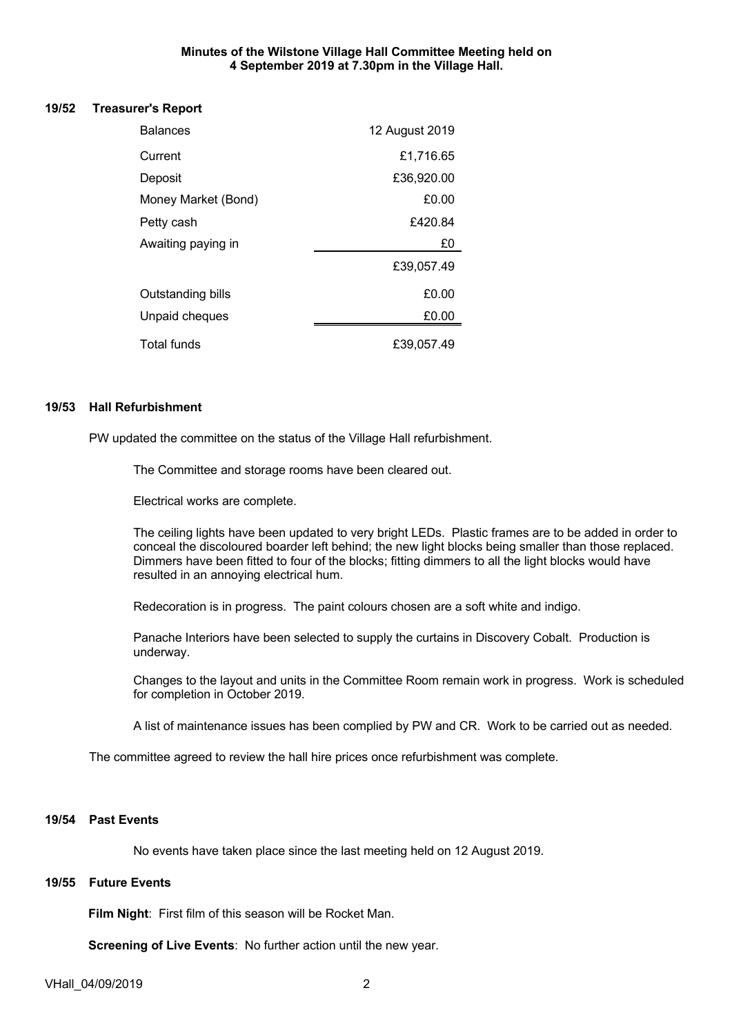#### **Minutes of the Wilstone Village Hall Committee Meeting held on 4 September 2019 at 7.30pm in the Village Hall.**

#### **19/52 Treasurer's Report**

| <b>Balances</b>     | 12 August 2019 |
|---------------------|----------------|
| Current             | £1,716.65      |
| Deposit             | £36,920.00     |
| Money Market (Bond) | £0.00          |
| Petty cash          | £420.84        |
| Awaiting paying in  | £0             |
|                     | £39,057.49     |
| Outstanding bills   | £0.00          |
| Unpaid cheques      | £0.00          |
| Total funds         | £39.057.49     |

#### **19/53 Hall Refurbishment**

PW updated the committee on the status of the Village Hall refurbishment.

The Committee and storage rooms have been cleared out.

Electrical works are complete.

The ceiling lights have been updated to very bright LEDs. Plastic frames are to be added in order to conceal the discoloured boarder left behind; the new light blocks being smaller than those replaced. Dimmers have been fitted to four of the blocks; fitting dimmers to all the light blocks would have resulted in an annoying electrical hum.

Redecoration is in progress. The paint colours chosen are a soft white and indigo.

Panache Interiors have been selected to supply the curtains in Discovery Cobalt. Production is underway.

Changes to the layout and units in the Committee Room remain work in progress. Work is scheduled for completion in October 2019.

A list of maintenance issues has been complied by PW and CR. Work to be carried out as needed.

The committee agreed to review the hall hire prices once refurbishment was complete.

#### **19/54 Past Events**

No events have taken place since the last meeting held on 12 August 2019.

## **19/55 Future Events**

**Film Night**: First film of this season will be Rocket Man.

**Screening of Live Events**: No further action until the new year.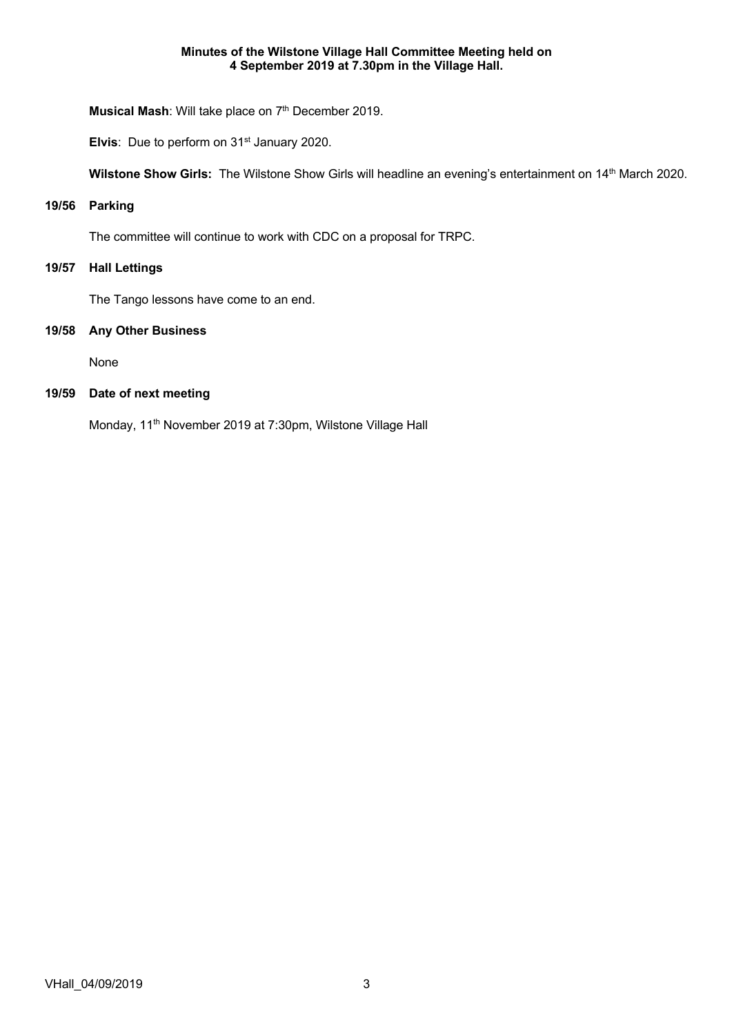#### **Minutes of the Wilstone Village Hall Committee Meeting held on 4 September 2019 at 7.30pm in the Village Hall.**

**Musical Mash:** Will take place on 7<sup>th</sup> December 2019.

**Elvis**: Due to perform on 31<sup>st</sup> January 2020.

Wilstone Show Girls: The Wilstone Show Girls will headline an evening's entertainment on 14<sup>th</sup> March 2020.

## **19/56 Parking**

The committee will continue to work with CDC on a proposal for TRPC.

#### **19/57 Hall Lettings**

The Tango lessons have come to an end.

## **19/58 Any Other Business**

None

# **19/59 Date of next meeting**

Monday, 11<sup>th</sup> November 2019 at 7:30pm, Wilstone Village Hall